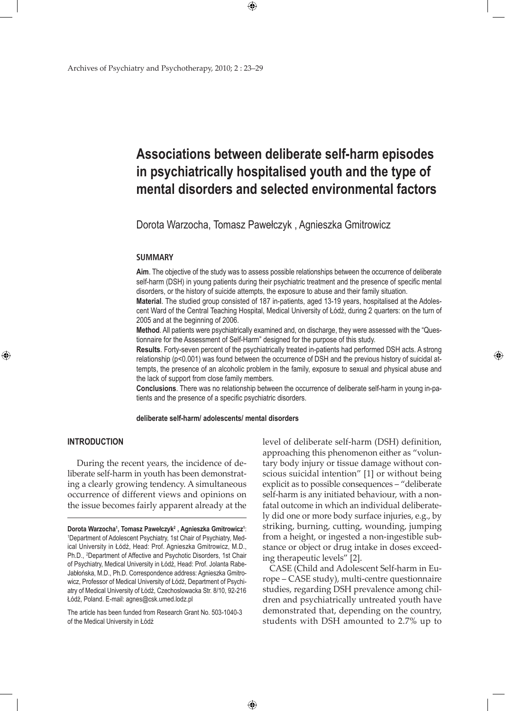# **Associations between deliberate self-harm episodes in psychiatrically hospitalised youth and the type of mental disorders and selected environmental factors**

Dorota Warzocha, Tomasz Pawełczyk , Agnieszka Gmitrowicz

 $\bigoplus$ 

#### **SUMMARY**

**Aim**. The objective of the study was to assess possible relationships between the occurrence of deliberate self-harm (DSH) in young patients during their psychiatric treatment and the presence of specific mental disorders, or the history of suicide attempts, the exposure to abuse and their family situation.

**Material**. The studied group consisted of 187 in-patients, aged 13-19 years, hospitalised at the Adolescent Ward of the Central Teaching Hospital, Medical University of Łódź, during 2 quarters: on the turn of 2005 and at the beginning of 2006.

**Method**. All patients were psychiatrically examined and, on discharge, they were assessed with the "Questionnaire for the Assessment of Self-Harm" designed for the purpose of this study.

**Results**. Forty-seven percent of the psychiatrically treated in-patients had performed DSH acts. A strong relationship (p<0.001) was found between the occurrence of DSH and the previous history of suicidal attempts, the presence of an alcoholic problem in the family, exposure to sexual and physical abuse and the lack of support from close family members.

**Conclusions**. There was no relationship between the occurrence of deliberate self-harm in young in-patients and the presence of a specific psychiatric disorders.

**deliberate self-harm/ adolescents/ mental disorders**

 $\bigoplus$ 

#### **INTRODUCTION**

⊕

 During the recent years, the incidence of deliberate self-harm in youth has been demonstrating a clearly growing tendency. A simultaneous occurrence of different views and opinions on the issue becomes fairly apparent already at the

The article has been funded from Research Grant No. 503-1040-3 of the Medical University in Łódź

level of deliberate self-harm (DSH) definition, approaching this phenomenon either as "voluntary body injury or tissue damage without conscious suicidal intention" [1] or without being explicit as to possible consequences – "deliberate self-harm is any initiated behaviour, with a nonfatal outcome in which an individual deliberately did one or more body surface injuries, e.g., by striking, burning, cutting, wounding, jumping from a height, or ingested a non-ingestible substance or object or drug intake in doses exceeding therapeutic levels" [2].

⊕

CASE (Child and Adolescent Self-harm in Europe – CASE study), multi-centre questionnaire studies, regarding DSH prevalence among children and psychiatrically untreated youth have demonstrated that, depending on the country, students with DSH amounted to 2.7% up to

**Dorota Warzocha<sup>1</sup>, Tomasz Pawełczyk<sup>2</sup> , Agnieszka Gmitrowicz<sup>i</sup>:<br><sup>1</sup>Denartment of Adolescent Psychiatry, 1st Chair of Psychiatry, Med-**Department of Adolescent Psychiatry, 1st Chair of Psychiatry, Medical University in Łódź, Head: Prof. Agnieszka Gmitrowicz, M.D., Ph.D., <sup>2</sup>Department of Affective and Psychotic Disorders, 1st Chair of Psychiatry, Medical University in Łódź, Head: Prof. Jolanta Rabe-Jabłońska, M.D., Ph.D. Correspondence address: Agnieszka Gmitrowicz, Professor of Medical University of Łódź, Department of Psychiatry of Medical University of Łódź, Czechoslowacka Str. 8/10, 92-216 Łódź, Poland. E-mail: agnes@csk.umed.lodz.pl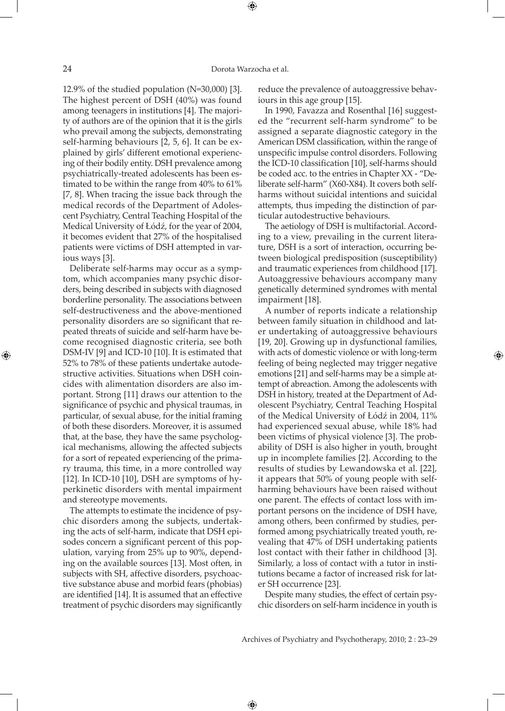⊕

12.9% of the studied population (N=30,000) [3]. The highest percent of DSH (40%) was found among teenagers in institutions [4]. The majority of authors are of the opinion that it is the girls who prevail among the subjects, demonstrating self-harming behaviours [2, 5, 6]. It can be explained by girls' different emotional experiencing of their bodily entity. DSH prevalence among psychiatrically-treated adolescents has been estimated to be within the range from 40% to 61% [7, 8]. When tracing the issue back through the medical records of the Department of Adolescent Psychiatry, Central Teaching Hospital of the Medical University of Łódź, for the year of 2004, it becomes evident that 27% of the hospitalised patients were victims of DSH attempted in various ways [3].

Deliberate self-harms may occur as a symptom, which accompanies many psychic disorders, being described in subjects with diagnosed borderline personality. The associations between self-destructiveness and the above-mentioned personality disorders are so significant that repeated threats of suicide and self-harm have become recognised diagnostic criteria, see both DSM-IV [9] and ICD-10 [10]. It is estimated that 52% to 78% of these patients undertake autodestructive activities. Situations when DSH coincides with alimentation disorders are also important. Strong [11] draws our attention to the significance of psychic and physical traumas, in particular, of sexual abuse, for the initial framing of both these disorders. Moreover, it is assumed that, at the base, they have the same psychological mechanisms, allowing the affected subjects for a sort of repeated experiencing of the primary trauma, this time, in a more controlled way [12]. In ICD-10 [10], DSH are symptoms of hyperkinetic disorders with mental impairment and stereotype movements.

The attempts to estimate the incidence of psychic disorders among the subjects, undertaking the acts of self-harm, indicate that DSH episodes concern a significant percent of this population, varying from 25% up to 90%, depending on the available sources [13]. Most often, in subjects with SH, affective disorders, psychoactive substance abuse and morbid fears (phobias) are identified [14]. It is assumed that an effective treatment of psychic disorders may significantly reduce the prevalence of autoaggressive behaviours in this age group [15].

In 1990, Favazza and Rosenthal [16] suggested the "recurrent self-harm syndrome" to be assigned a separate diagnostic category in the American DSM classification, within the range of unspecific impulse control disorders. Following the ICD-10 classification [10], self-harms should be coded acc. to the entries in Chapter XX - "Deliberate self-harm" (X60-X84). It covers both selfharms without suicidal intentions and suicidal attempts, thus impeding the distinction of particular autodestructive behaviours.

The aetiology of DSH is multifactorial. According to a view, prevailing in the current literature, DSH is a sort of interaction, occurring between biological predisposition (susceptibility) and traumatic experiences from childhood [17]. Autoaggressive behaviours accompany many genetically determined syndromes with mental impairment [18].

A number of reports indicate a relationship between family situation in childhood and later undertaking of autoaggressive behaviours [19, 20]. Growing up in dysfunctional families, with acts of domestic violence or with long-term feeling of being neglected may trigger negative emotions [21] and self-harms may be a simple attempt of abreaction. Among the adolescents with DSH in history, treated at the Department of Adolescent Psychiatry, Central Teaching Hospital of the Medical University of Łódź in 2004, 11% had experienced sexual abuse, while 18% had been victims of physical violence [3]. The probability of DSH is also higher in youth, brought up in incomplete families [2]. According to the results of studies by Lewandowska et al. [22], it appears that 50% of young people with selfharming behaviours have been raised without one parent. The effects of contact loss with important persons on the incidence of DSH have, among others, been confirmed by studies, performed among psychiatrically treated youth, revealing that 47% of DSH undertaking patients lost contact with their father in childhood [3]. Similarly, a loss of contact with a tutor in institutions became a factor of increased risk for later SH occurrence [23].

⊕

Despite many studies, the effect of certain psychic disorders on self-harm incidence in youth is

Archives of Psychiatry and Psychotherapy, 2010; 2 : 23–29

 $\bigoplus$ 

⊕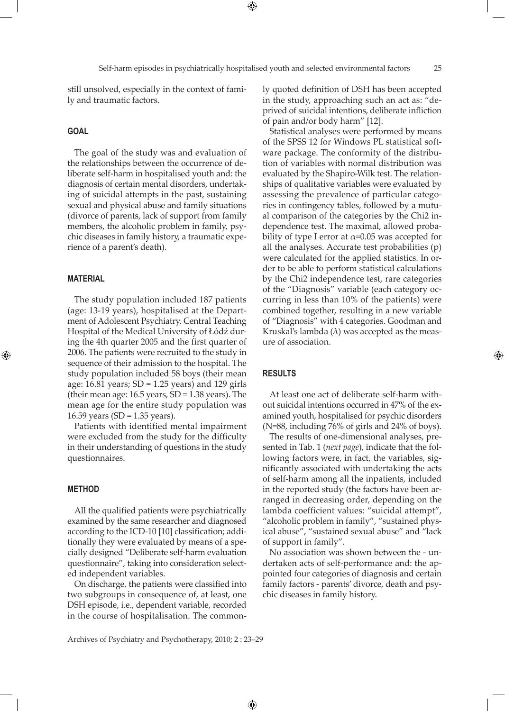⊕

still unsolved, especially in the context of family and traumatic factors.

#### **GOAL**

The goal of the study was and evaluation of the relationships between the occurrence of deliberate self-harm in hospitalised youth and: the diagnosis of certain mental disorders, undertaking of suicidal attempts in the past, sustaining sexual and physical abuse and family situations (divorce of parents, lack of support from family members, the alcoholic problem in family, psychic diseases in family history, a traumatic experience of a parent's death).

#### **MATERIAL**

⊕

The study population included 187 patients (age: 13-19 years), hospitalised at the Department of Adolescent Psychiatry, Central Teaching Hospital of the Medical University of Łódź during the 4th quarter 2005 and the first quarter of 2006. The patients were recruited to the study in sequence of their admission to the hospital. The study population included 58 boys (their mean age: 16.81 years; SD = 1.25 years) and 129 girls (their mean age:  $16.5$  years,  $SD = 1.38$  years). The mean age for the entire study population was 16.59 years (SD = 1.35 years).

Patients with identified mental impairment were excluded from the study for the difficulty in their understanding of questions in the study questionnaires.

#### **METHOD**

All the qualified patients were psychiatrically examined by the same researcher and diagnosed according to the ICD-10 [10] classification; additionally they were evaluated by means of a specially designed "Deliberate self-harm evaluation questionnaire", taking into consideration selected independent variables.

On discharge, the patients were classified into two subgroups in consequence of, at least, one DSH episode, i.e., dependent variable, recorded in the course of hospitalisation. The commonly quoted definition of DSH has been accepted in the study, approaching such an act as: "deprived of suicidal intentions, deliberate infliction of pain and/or body harm" [12].

Statistical analyses were performed by means of the SPSS 12 for Windows PL statistical software package. The conformity of the distribution of variables with normal distribution was evaluated by the Shapiro-Wilk test. The relationships of qualitative variables were evaluated by assessing the prevalence of particular categories in contingency tables, followed by a mutual comparison of the categories by the Chi2 independence test. The maximal, allowed probability of type I error at  $\alpha$ =0.05 was accepted for all the analyses. Accurate test probabilities (p) were calculated for the applied statistics. In order to be able to perform statistical calculations by the Chi2 independence test, rare categories of the "Diagnosis" variable (each category occurring in less than 10% of the patients) were combined together, resulting in a new variable of "Diagnosis" with 4 categories. Goodman and Kruskal's lambda  $(\lambda)$  was accepted as the measure of association.

#### **RESULTS**

 $\bigoplus$ 

At least one act of deliberate self-harm without suicidal intentions occurred in 47% of the examined youth, hospitalised for psychic disorders (N=88, including 76% of girls and 24% of boys). ⊕

The results of one-dimensional analyses, presented in Tab. 1 (*next page*), indicate that the following factors were, in fact, the variables, significantly associated with undertaking the acts of self-harm among all the inpatients, included in the reported study (the factors have been arranged in decreasing order, depending on the lambda coefficient values: "suicidal attempt", "alcoholic problem in family", "sustained physical abuse", "sustained sexual abuse" and "lack of support in family".

No association was shown between the - undertaken acts of self-performance and: the appointed four categories of diagnosis and certain family factors - parents' divorce, death and psychic diseases in family history.

Archives of Psychiatry and Psychotherapy, 2010; 2 : 23–29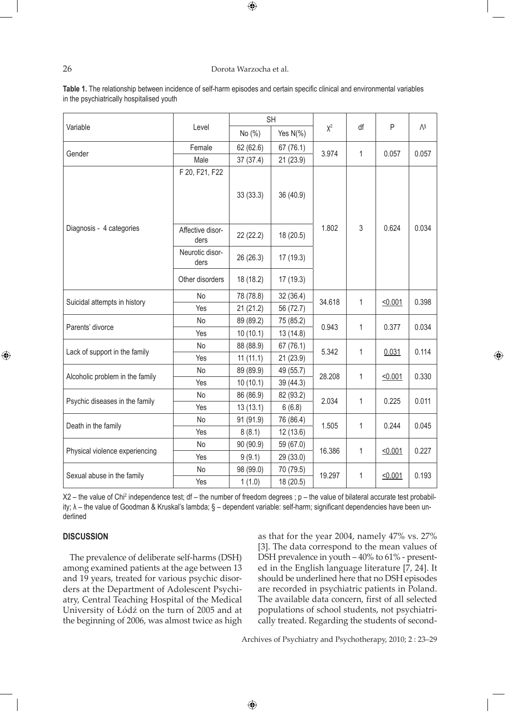#### 26 Dorota Warzocha et al.

 $\bigoplus$ 

| Variable                        | Level                    | <b>SH</b> |             |        |              |        |                |
|---------------------------------|--------------------------|-----------|-------------|--------|--------------|--------|----------------|
|                                 |                          | No (%)    | Yes $N(\%)$ | $X^2$  | df           | P      | $\Lambda^{\S}$ |
| Gender                          | Female                   | 62 (62.6) | 67 (76.1)   | 3.974  | $\mathbf 1$  | 0.057  | 0.057          |
|                                 | Male                     | 37 (37.4) | 21 (23.9)   |        |              |        |                |
| Diagnosis - 4 categories        | F 20, F21, F22           | 33(33.3)  | 36 (40.9)   | 1.802  | 3            | 0.624  | 0.034          |
|                                 | Affective disor-<br>ders | 22 (22.2) | 18 (20.5)   |        |              |        |                |
|                                 | Neurotic disor-<br>ders  | 26 (26.3) | 17(19.3)    |        |              |        |                |
|                                 | Other disorders          | 18 (18.2) | 17(19.3)    |        |              |        |                |
| Suicidal attempts in history    | <b>No</b>                | 78 (78.8) | 32 (36.4)   | 34.618 | $\mathbf{1}$ | 50.001 | 0.398          |
|                                 | Yes                      | 21(21.2)  | 56 (72.7)   |        |              |        |                |
| Parents' divorce                | <b>No</b>                | 89 (89.2) | 75 (85.2)   | 0.943  | 1            | 0.377  | 0.034          |
|                                 | Yes                      | 10(10.1)  | 13 (14.8)   |        |              |        |                |
| Lack of support in the family   | No                       | 88 (88.9) | 67(76.1)    | 5.342  | $\mathbf{1}$ | 0.031  | 0.114          |
|                                 | Yes                      | 11(11.1)  | 21 (23.9)   |        |              |        |                |
| Alcoholic problem in the family | No                       | 89 (89.9) | 49 (55.7)   | 28.208 | $\mathbf 1$  | 50.001 | 0.330          |
|                                 | Yes                      | 10(10.1)  | 39 (44.3)   |        |              |        |                |
| Psychic diseases in the family  | No                       | 86 (86.9) | 82 (93.2)   | 2.034  | $\mathbf 1$  | 0.225  | 0.011          |
|                                 | Yes                      | 13(13.1)  | 6(6.8)      |        |              |        |                |
| Death in the family             | No                       | 91 (91.9) | 76 (86.4)   | 1.505  | $\mathbf 1$  | 0.244  | 0.045          |
|                                 | Yes                      | 8(8.1)    | 12 (13.6)   |        |              |        |                |
| Physical violence experiencing  | No                       | 90 (90.9) | 59 (67.0)   | 16.386 | $\mathbf{1}$ | 50.001 | 0.227          |
|                                 | Yes                      | 9(9.1)    | 29 (33.0)   |        |              |        |                |
| Sexual abuse in the family      | No                       | 98 (99.0) | 70 (79.5)   | 19.297 | $\mathbf 1$  | 50.001 | 0.193          |
|                                 | Yes                      | 1(1.0)    | 18 (20.5)   |        |              |        |                |

**Table 1.** The relationship between incidence of self-harm episodes and certain specific clinical and environmental variables in the psychiatrically hospitalised youth

X2 – the value of Chi<sup>2</sup> independence test; df – the number of freedom degrees ; p – the value of bilateral accurate test probability; λ - the value of Goodman & Kruskal's lambda; § - dependent variable: self-harm; significant dependencies have been underlined

 $\bigoplus$ 

#### **DISCUSSION**

⊕

The prevalence of deliberate self-harms (DSH) among examined patients at the age between 13 and 19 years, treated for various psychic disorders at the Department of Adolescent Psychiatry, Central Teaching Hospital of the Medical University of Łódź on the turn of 2005 and at the beginning of 2006, was almost twice as high

as that for the year 2004, namely 47% vs. 27% [3]. The data correspond to the mean values of DSH prevalence in youth – 40% to 61% - presented in the English language literature [7, 24]. It should be underlined here that no DSH episodes are recorded in psychiatric patients in Poland. The available data concern, first of all selected populations of school students, not psychiatrically treated. Regarding the students of second⊕

Archives of Psychiatry and Psychotherapy, 2010; 2 : 23–29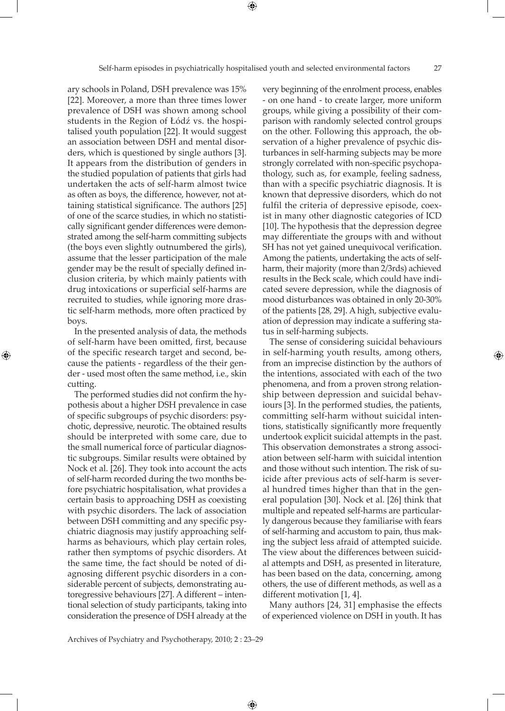ary schools in Poland, DSH prevalence was 15% [22]. Moreover, a more than three times lower prevalence of DSH was shown among school students in the Region of Łódź vs. the hospitalised youth population [22]. It would suggest an association between DSH and mental disorders, which is questioned by single authors [3]. It appears from the distribution of genders in the studied population of patients that girls had undertaken the acts of self-harm almost twice as often as boys, the difference, however, not attaining statistical significance. The authors [25] of one of the scarce studies, in which no statistically significant gender differences were demonstrated among the self-harm committing subjects (the boys even slightly outnumbered the girls), assume that the lesser participation of the male gender may be the result of specially defined inclusion criteria, by which mainly patients with drug intoxications or superficial self-harms are recruited to studies, while ignoring more drastic self-harm methods, more often practiced by boys.

In the presented analysis of data, the methods of self-harm have been omitted, first, because of the specific research target and second, because the patients - regardless of the their gender - used most often the same method, i.e., skin cutting.

⊕

The performed studies did not confirm the hypothesis about a higher DSH prevalence in case of specific subgroups of psychic disorders: psychotic, depressive, neurotic. The obtained results should be interpreted with some care, due to the small numerical force of particular diagnostic subgroups. Similar results were obtained by Nock et al. [26]. They took into account the acts of self-harm recorded during the two months before psychiatric hospitalisation, what provides a certain basis to approaching DSH as coexisting with psychic disorders. The lack of association between DSH committing and any specific psychiatric diagnosis may justify approaching selfharms as behaviours, which play certain roles, rather then symptoms of psychic disorders. At the same time, the fact should be noted of diagnosing different psychic disorders in a considerable percent of subjects, demonstrating autoregressive behaviours [27]. A different – intentional selection of study participants, taking into consideration the presence of DSH already at the

very beginning of the enrolment process, enables - on one hand - to create larger, more uniform groups, while giving a possibility of their comparison with randomly selected control groups on the other. Following this approach, the observation of a higher prevalence of psychic disturbances in self-harming subjects may be more strongly correlated with non-specific psychopathology, such as, for example, feeling sadness, than with a specific psychiatric diagnosis. It is known that depressive disorders, which do not fulfil the criteria of depressive episode, coexist in many other diagnostic categories of ICD [10]. The hypothesis that the depression degree may differentiate the groups with and without SH has not yet gained unequivocal verification. Among the patients, undertaking the acts of selfharm, their majority (more than 2/3rds) achieved results in the Beck scale, which could have indicated severe depression, while the diagnosis of mood disturbances was obtained in only 20-30% of the patients [28, 29]. A high, subjective evaluation of depression may indicate a suffering status in self-harming subjects.

The sense of considering suicidal behaviours in self-harming youth results, among others, from an imprecise distinction by the authors of the intentions, associated with each of the two phenomena, and from a proven strong relationship between depression and suicidal behaviours [3]. In the performed studies, the patients, committing self-harm without suicidal intentions, statistically significantly more frequently undertook explicit suicidal attempts in the past. This observation demonstrates a strong association between self-harm with suicidal intention and those without such intention. The risk of suicide after previous acts of self-harm is several hundred times higher than that in the general population [30]. Nock et al. [26] think that multiple and repeated self-harms are particularly dangerous because they familiarise with fears of self-harming and accustom to pain, thus making the subject less afraid of attempted suicide. The view about the differences between suicidal attempts and DSH, as presented in literature, has been based on the data, concerning, among others, the use of different methods, as well as a different motivation [1, 4].

Many authors [24, 31] emphasise the effects of experienced violence on DSH in youth. It has

Archives of Psychiatry and Psychotherapy, 2010; 2 : 23–29

⊕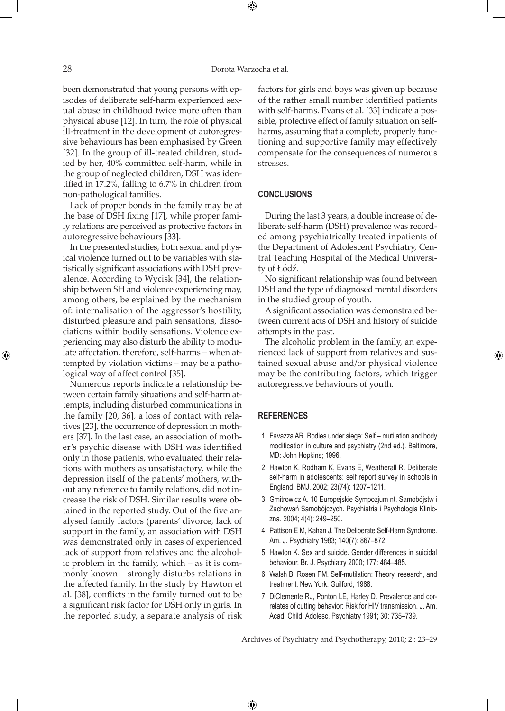28 Dorota Warzocha et al.

⊕

been demonstrated that young persons with episodes of deliberate self-harm experienced sexual abuse in childhood twice more often than physical abuse [12]. In turn, the role of physical ill-treatment in the development of autoregressive behaviours has been emphasised by Green [32]. In the group of ill-treated children, studied by her, 40% committed self-harm, while in the group of neglected children, DSH was identified in 17.2%, falling to 6.7% in children from non-pathological families.

Lack of proper bonds in the family may be at the base of DSH fixing [17], while proper family relations are perceived as protective factors in autoregressive behaviours [33].

In the presented studies, both sexual and physical violence turned out to be variables with statistically significant associations with DSH prevalence. According to Wycisk [34], the relationship between SH and violence experiencing may, among others, be explained by the mechanism of: internalisation of the aggressor's hostility, disturbed pleasure and pain sensations, dissociations within bodily sensations. Violence experiencing may also disturb the ability to modulate affectation, therefore, self-harms – when attempted by violation victims – may be a pathological way of affect control [35].

Numerous reports indicate a relationship between certain family situations and self-harm attempts, including disturbed communications in the family [20, 36], a loss of contact with relatives [23], the occurrence of depression in mothers [37]. In the last case, an association of mother's psychic disease with DSH was identified only in those patients, who evaluated their relations with mothers as unsatisfactory, while the depression itself of the patients' mothers, without any reference to family relations, did not increase the risk of DSH. Similar results were obtained in the reported study. Out of the five analysed family factors (parents' divorce, lack of support in the family, an association with DSH was demonstrated only in cases of experienced lack of support from relatives and the alcoholic problem in the family, which – as it is commonly known – strongly disturbs relations in the affected family. In the study by Hawton et al. [38], conflicts in the family turned out to be a significant risk factor for DSH only in girls. In the reported study, a separate analysis of risk

factors for girls and boys was given up because of the rather small number identified patients with self-harms. Evans et al. [33] indicate a possible, protective effect of family situation on selfharms, assuming that a complete, properly functioning and supportive family may effectively compensate for the consequences of numerous stresses.

#### **CONCLUSIONS**

During the last 3 years, a double increase of deliberate self-harm (DSH) prevalence was recorded among psychiatrically treated inpatients of the Department of Adolescent Psychiatry, Central Teaching Hospital of the Medical University of Łódź.

No significant relationship was found between DSH and the type of diagnosed mental disorders in the studied group of youth.

A significant association was demonstrated between current acts of DSH and history of suicide attempts in the past.

The alcoholic problem in the family, an experienced lack of support from relatives and sustained sexual abuse and/or physical violence may be the contributing factors, which trigger autoregressive behaviours of youth.

#### **REFERENCES**

 $\bigoplus$ 

- 1. Favazza AR. Bodies under siege: Self mutilation and body modification in culture and psychiatry (2nd ed.). Baltimore, MD: John Hopkins; 1996.
- 2. Hawton K, Rodham K, Evans E, Weatherall R. Deliberate self-harm in adolescents: self report survey in schools in England. BMJ. 2002; 23(74): 1207–1211.
- 3. Gmitrowicz A. 10 Europejskie Sympozjum nt. Samobójstw i Zachowań Samobójczych. Psychiatria i Psychologia Kliniczna. 2004; 4(4): 249–250.
- 4. Pattison E M, Kahan J. The Deliberate Self-Harm Syndrome. Am. J. Psychiatry 1983; 140(7): 867–872.
- 5. Hawton K. Sex and suicide. Gender differences in suicidal behaviour. Br. J. Psychiatry 2000; 177: 484–485.
- 6. Walsh B, Rosen PM. Self-mutilation: Theory, research, and treatment. New York: Guilford; 1988.
- 7. DiClemente RJ, Ponton LE, Harley D. Prevalence and correlates of cutting behavior: Risk for HIV transmission. J. Am. Acad. Child. Adolesc. Psychiatry 1991; 30: 735–739.

Archives of Psychiatry and Psychotherapy, 2010; 2 : 23–29

⊕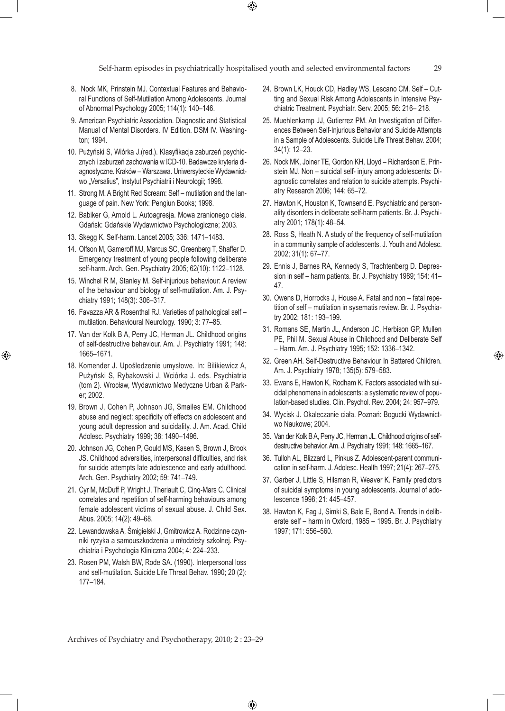Self-harm episodes in psychiatrically hospitalised youth and selected environmental factors 29

 $\bigoplus$ 

- 8. Nock MK, Prinstein MJ. Contextual Features and Behavioral Functions of Self-Mutilation Among Adolescents. Journal of Abnormal Psychology 2005; 114(1): 140–146.
- 9. American Psychiatric Association. Diagnostic and Statistical Manual of Mental Disorders. IV Edition. DSM IV. Washington; 1994.
- 10. Pużyński S, Wiórka J.(red.). Klasyfikacja zaburzeń psychicznych i zaburzeń zachowania w ICD-10. Badawcze kryteria diagnostyczne. Kraków – Warszawa. Uniwersyteckie Wydawnictwo "Versalius", Instytut Psychiatrii i Neurologii; 1998.
- 11. Strong M. A Bright Red Scream: Self mutilation and the language of pain. New York: Pengiun Books; 1998.
- 12. Babiker G, Arnold L. Autoagresja. Mowa zranionego ciała. Gdańsk: Gdańskie Wydawnictwo Psychologiczne; 2003.
- 13. Skegg K. Self-harm. Lancet 2005; 336: 1471–1483.
- 14. Olfson M, Gameroff MJ, Marcus SC, Greenberg T, Shaffer D. Emergency treatment of young people following deliberate self-harm. Arch. Gen. Psychiatry 2005; 62(10): 1122–1128.
- 15. Winchel R M, Stanley M. Self-injurious behaviour: A review of the behaviour and biology of self-mutilation. Am. J. Psychiatry 1991; 148(3): 306–317.
- 16. Favazza AR & Rosenthal RJ. Varieties of pathological self mutilation. Behavioural Neurology. 1990; 3: 77–85.
- 17. Van der Kolk B A, Perry JC, Herman JL. Childhood origins of self-destructive behaviour. Am. J. Psychiatry 1991; 148: 1665–1671.

⊕

- 18. Komender J. Upośledzenie umysłowe. In: Bilikiewicz A, Pużyński S, Rybakowski J, Wciórka J. eds. Psychiatria (tom 2). Wrocław, Wydawnictwo Medyczne Urban & Parker; 2002.
- 19. Brown J, Cohen P, Johnson JG, Smailes EM. Childhood abuse and neglect: specificity off effects on adolescent and young adult depression and suicidality. J. Am. Acad. Child Adolesc. Psychiatry 1999; 38: 1490–1496.
- 20. Johnson JG, Cohen P, Gould MS, Kasen S, Brown J, Brook JS. Childhood adversities, interpersonal difficulties, and risk for suicide attempts late adolescence and early adulthood. Arch. Gen. Psychiatry 2002; 59: 741–749.
- 21. Cyr M, McDuff P, Wright J, Theriault C, Cinq-Mars C. Clinical correlates and repetition of self-harming behaviours among female adolescent victims of sexual abuse. J. Child Sex. Abus. 2005; 14(2): 49–68.
- 22. Lewandowska A, Śmigielski J, Gmitrowicz A. Rodzinne czynniki ryzyka a samouszkodzenia u młodzieży szkolnej. Psychiatria i Psychologia Kliniczna 2004; 4: 224–233.
- 23. Rosen PM, Walsh BW, Rode SA. (1990). Interpersonal loss and self-mutilation. Suicide Life Threat Behav. 1990; 20 (2): 177–184.
- 24. Brown LK, Houck CD, Hadley WS, Lescano CM. Self Cutting and Sexual Risk Among Adolescents in Intensive Psychiatric Treatment. Psychiatr. Serv. 2005; 56: 216– 218.
- 25. Muehlenkamp JJ, Gutierrez PM. An Investigation of Differences Between Self-Injurious Behavior and Suicide Attempts in a Sample of Adolescents. Suicide Life Threat Behav. 2004; 34(1): 12–23.
- 26. Nock MK, Joiner TE, Gordon KH, Lloyd Richardson E, Prinstein MJ. Non – suicidal self- injury among adolescents: Diagnostic correlates and relation to suicide attempts. Psychiatry Research 2006; 144: 65–72.
- 27. Hawton K, Houston K, Townsend E. Psychiatric and personality disorders in deliberate self-harm patients. Br. J. Psychiatry 2001; 178(1): 48–54.
- 28. Ross S, Heath N. A study of the frequency of self-mutilation in a community sample of adolescents. J. Youth and Adolesc. 2002; 31(1): 67–77.
- 29. Ennis J, Barnes RA, Kennedy S, Trachtenberg D. Depression in self – harm patients. Br. J. Psychiatry 1989; 154: 41– 47.
- 30. Owens D, Horrocks J, House A. Fatal and non fatal repetition of self – mutilation in sysematis review. Br. J. Psychiatry 2002; 181: 193–199.
- 31. Romans SE, Martin JL, Anderson JC, Herbison GP, Mullen PE, Phil M. Sexual Abuse in Childhood and Deliberate Self – Harm. Am. J. Psychiatry 1995; 152: 1336–1342.
- 32. Green AH. Self-Destructive Behaviour In Battered Children. Am. J. Psychiatry 1978; 135(5): 579–583.

⊕

- 33. Ewans E, Hawton K, Rodham K. Factors associated with suicidal phenomena in adolescents: a systematic review of population-based studies. Clin. Psychol. Rev. 2004; 24: 957–979.
- 34. Wycisk J. Okaleczanie ciała. Poznań: Bogucki Wydawnictwo Naukowe; 2004.
- 35. Van der Kolk B A, Perry JC, Herman JL. Childhood origins of selfdestructive behavior. Am. J. Psychiatry 1991; 148: 1665–167.
- 36. Tulloh AL, Blizzard L, Pinkus Z. Adolescent-parent communication in self-harm. J. Adolesc. Health 1997; 21(4): 267–275.
- 37. Garber J, Little S, Hilsman R, Weaver K. Family predictors of suicidal symptoms in young adolescents. Journal of adolescence 1998; 21: 445–457.
- 38. Hawton K, Fag J, Simki S, Bale E, Bond A. Trends in deliberate self – harm in Oxford, 1985 – 1995. Br. J. Psychiatry 1997; 171: 556–560.

Archives of Psychiatry and Psychotherapy, 2010; 2 : 23–29

 $\bigoplus$